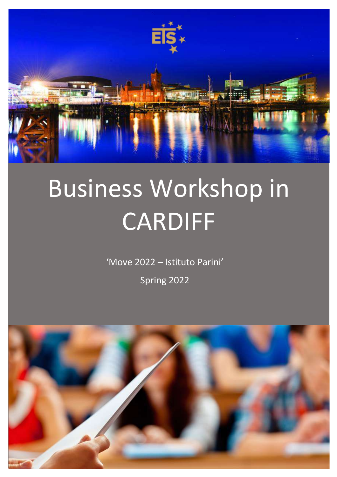

# Business Workshop in CARDIFF

'Move 2022 – Istituto Parini'

Spring 2022

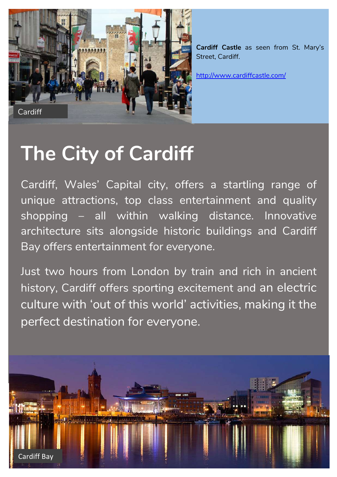

**Cardiff Castle** as seen from St. Mary's Street, Cardiff.

http://www.cardiffcastle.com/

## **The City of Cardiff**

Cardiff, Wales' Capital city, offers a startling range of unique attractions, top class entertainment and quality shopping – all within walking distance. Innovative architecture sits alongside historic buildings and Cardiff Bay offers entertainment for everyone.

Just two hours from London by train and rich in ancient history, Cardiff offers sporting excitement and an electric culture with 'out of this world' activities, making it the perfect destination for everyone.

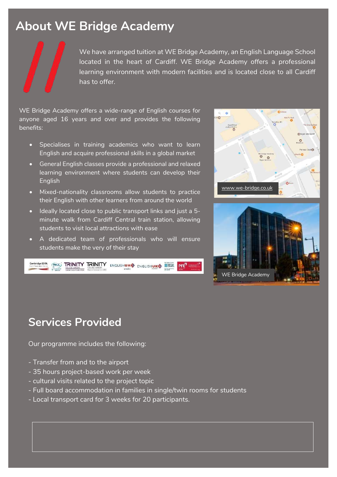## **About WE Bridge Academy**

We have arranged tuition at WE Bridge Academy, an English Language School located in the heart of Cardiff. WE Bridge Academy offers a professional learning environment with modern facilities and is located close to all Cardiff has to offer.

WE Bridge Academy offers a wide-range of English courses for anyone aged 16 years and over and provides the following benefits:

- Specialises in training academics who want to learn English and acquire professional skills in a global market
- General English classes provide a professional and relaxed learning environment where students can develop their English
- Mixed-nationality classrooms allow students to practice their English with other learners from around the world
- Ideally located close to public transport links and just a 5 minute walk from Cardiff Central train station, allowing students to visit local attractions with ease
- A dedicated team of professionals who will ensure students make the very of their stay







## **Services Provided**

Our programme includes the following:

- Transfer from and to the airport
- 35 hours project-based work per week
- cultural visits related to the project topic
- Full board accommodation in families in single/twin rooms for students
- Local transport card for 3 weeks for 20 participants.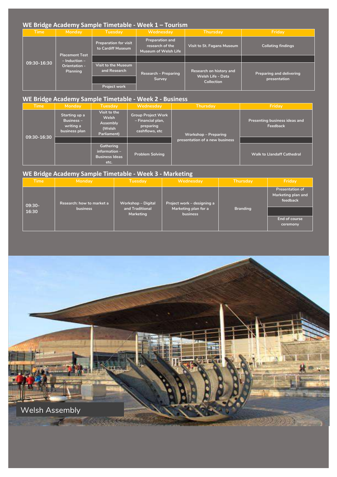| WE Bridge Academy Sample Timetable - Week 1 - Tourism |                                                                  |                                                            |                                                                          |                                                                   |                                                 |  |  |  |  |
|-------------------------------------------------------|------------------------------------------------------------------|------------------------------------------------------------|--------------------------------------------------------------------------|-------------------------------------------------------------------|-------------------------------------------------|--|--|--|--|
| <b>Time</b>                                           | Monday                                                           | <b>Tuesday</b>                                             | Wednesday                                                                | Thursday                                                          | Friday                                          |  |  |  |  |
| 09:30-16:30                                           | Placement Test<br>$-$ Induction $-$<br>Orientation -<br>Planning | <b>Preparation for visit</b><br>to Cardiff Museum          | <b>Preparation and</b><br>research of the<br><b>Museum of Welsh Life</b> | <b>Visit to St. Fagans Museum</b>                                 | <b>Collating findings</b>                       |  |  |  |  |
|                                                       |                                                                  |                                                            |                                                                          |                                                                   |                                                 |  |  |  |  |
|                                                       |                                                                  | Visit to the Museum<br>and Research<br><b>Project work</b> | <b>Research - Preparing</b><br>Survey                                    | Research on history and<br>Welsh Life - Data<br><b>Collection</b> | <b>Preparing and delivering</b><br>presentation |  |  |  |  |

#### **WE Bridge Academy Sample Timetable - Week 2 - Business**

| <b>Time</b>     | Monday                                                           | Tuesday                                                              | Wednesday                                                                     | <b>Thursday</b>                | Friday                                    |
|-----------------|------------------------------------------------------------------|----------------------------------------------------------------------|-------------------------------------------------------------------------------|--------------------------------|-------------------------------------------|
| $09:30 - 16:30$ | Starting up a<br><b>Business -</b><br>writing a<br>business plan | Visit to the<br>Welsh<br>Assembly<br>(Welsh<br>Parliament)           | <b>Group Project Work</b><br>- Financial plan,<br>preparing<br>cashflows, etc | <b>Workshop - Preparing</b>    | Presenting business ideas and<br>Feedback |
|                 |                                                                  |                                                                      |                                                                               | presentation of a new business |                                           |
|                 |                                                                  | <b>Gathering</b><br>$information -$<br><b>Business Ideas</b><br>etc. | <b>Problem Solving</b>                                                        |                                | <b>Walk to Llandaff Cathedral</b>         |

#### **WE Bridge Academy Sample Timetable - Week 3 - Marketing**

| <b>Time</b>       | Monday                                       | Tuesday                                                   | Wednesday                                                      | Thursday        | Friday                                                                                |
|-------------------|----------------------------------------------|-----------------------------------------------------------|----------------------------------------------------------------|-----------------|---------------------------------------------------------------------------------------|
| $09:30-$<br>16:30 | Research: how to market a<br><b>business</b> | Workshop - Digital<br>and Traditional<br><b>Marketing</b> | Project work - designing a<br>Marketing plan for a<br>business | <b>Branding</b> | <b>Presentation of</b><br>Marketing plan and<br>feedback<br>End of course<br>ceremony |